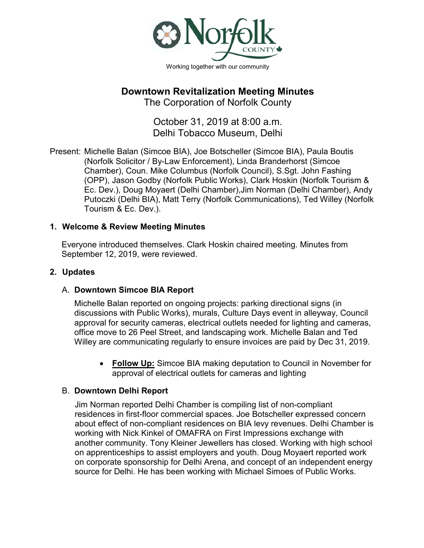

# **Downtown Revitalization Meeting Minutes**

The Corporation of Norfolk County

October 31, 2019 at 8:00 a.m. Delhi Tobacco Museum, Delhi

Present: Michelle Balan (Simcoe BIA), Joe Botscheller (Simcoe BIA), Paula Boutis (Norfolk Solicitor / By-Law Enforcement), Linda Branderhorst (Simcoe Chamber), Coun. Mike Columbus (Norfolk Council), S.Sgt. John Fashing (OPP), Jason Godby (Norfolk Public Works), Clark Hoskin (Norfolk Tourism & Ec. Dev.), Doug Moyaert (Delhi Chamber),Jim Norman (Delhi Chamber), Andy Putoczki (Delhi BIA), Matt Terry (Norfolk Communications), Ted Willey (Norfolk Tourism & Ec. Dev.).

#### **1. Welcome & Review Meeting Minutes**

Everyone introduced themselves. Clark Hoskin chaired meeting. Minutes from September 12, 2019, were reviewed.

#### **2. Updates**

### A. **Downtown Simcoe BIA Report**

Michelle Balan reported on ongoing projects: parking directional signs (in discussions with Public Works), murals, Culture Days event in alleyway, Council approval for security cameras, electrical outlets needed for lighting and cameras, office move to 26 Peel Street, and landscaping work. Michelle Balan and Ted Willey are communicating regularly to ensure invoices are paid by Dec 31, 2019.

• **Follow Up:** Simcoe BIA making deputation to Council in November for approval of electrical outlets for cameras and lighting

#### B. **Downtown Delhi Report**

Jim Norman reported Delhi Chamber is compiling list of non-compliant residences in first-floor commercial spaces. Joe Botscheller expressed concern about effect of non-compliant residences on BIA levy revenues. Delhi Chamber is working with Nick Kinkel of OMAFRA on First Impressions exchange with another community. Tony Kleiner Jewellers has closed. Working with high school on apprenticeships to assist employers and youth. Doug Moyaert reported work on corporate sponsorship for Delhi Arena, and concept of an independent energy source for Delhi. He has been working with Michael Simoes of Public Works.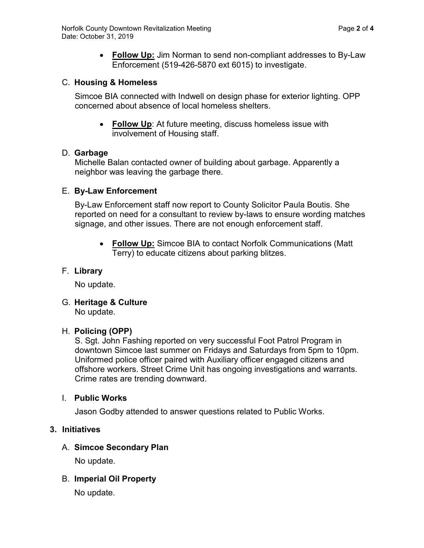• **Follow Up:** Jim Norman to send non-compliant addresses to By-Law Enforcement (519-426-5870 ext 6015) to investigate.

### C. **Housing & Homeless**

Simcoe BIA connected with Indwell on design phase for exterior lighting. OPP concerned about absence of local homeless shelters.

• **Follow Up**: At future meeting, discuss homeless issue with involvement of Housing staff.

#### D. **Garbage**

Michelle Balan contacted owner of building about garbage. Apparently a neighbor was leaving the garbage there.

#### E. **By-Law Enforcement**

By-Law Enforcement staff now report to County Solicitor Paula Boutis. She reported on need for a consultant to review by-laws to ensure wording matches signage, and other issues. There are not enough enforcement staff.

• **Follow Up:** Simcoe BIA to contact Norfolk Communications (Matt Terry) to educate citizens about parking blitzes.

### F. **Library**

No update.

G. **Heritage & Culture**

No update.

### H. **Policing (OPP)**

S. Sgt. John Fashing reported on very successful Foot Patrol Program in downtown Simcoe last summer on Fridays and Saturdays from 5pm to 10pm. Uniformed police officer paired with Auxiliary officer engaged citizens and offshore workers. Street Crime Unit has ongoing investigations and warrants. Crime rates are trending downward.

#### I. **Public Works**

Jason Godby attended to answer questions related to Public Works.

### **3. Initiatives**

### A. **Simcoe Secondary Plan**

No update.

### B. **Imperial Oil Property**

No update.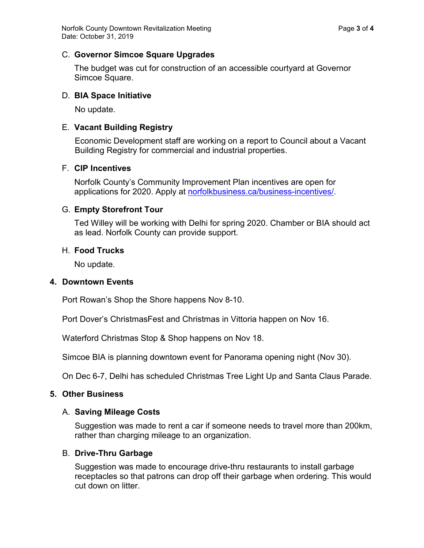#### C. **Governor Simcoe Square Upgrades**

The budget was cut for construction of an accessible courtyard at Governor Simcoe Square.

### D. **BIA Space Initiative**

No update.

### E. **Vacant Building Registry**

Economic Development staff are working on a report to Council about a Vacant Building Registry for commercial and industrial properties.

### F. **CIP Incentives**

Norfolk County's Community Improvement Plan incentives are open for applications for 2020. Apply at [norfolkbusiness.ca/business-incentives/.](https://www.norfolkbusiness.ca/business-incentives/)

### G. **Empty Storefront Tour**

Ted Willey will be working with Delhi for spring 2020. Chamber or BIA should act as lead. Norfolk County can provide support.

#### H. **Food Trucks**

No update.

#### **4. Downtown Events**

Port Rowan's Shop the Shore happens Nov 8-10.

Port Dover's ChristmasFest and Christmas in Vittoria happen on Nov 16.

Waterford Christmas Stop & Shop happens on Nov 18.

Simcoe BIA is planning downtown event for Panorama opening night (Nov 30).

On Dec 6-7, Delhi has scheduled Christmas Tree Light Up and Santa Claus Parade.

#### **5. Other Business**

#### A. **Saving Mileage Costs**

Suggestion was made to rent a car if someone needs to travel more than 200km, rather than charging mileage to an organization.

### B. **Drive-Thru Garbage**

Suggestion was made to encourage drive-thru restaurants to install garbage receptacles so that patrons can drop off their garbage when ordering. This would cut down on litter.